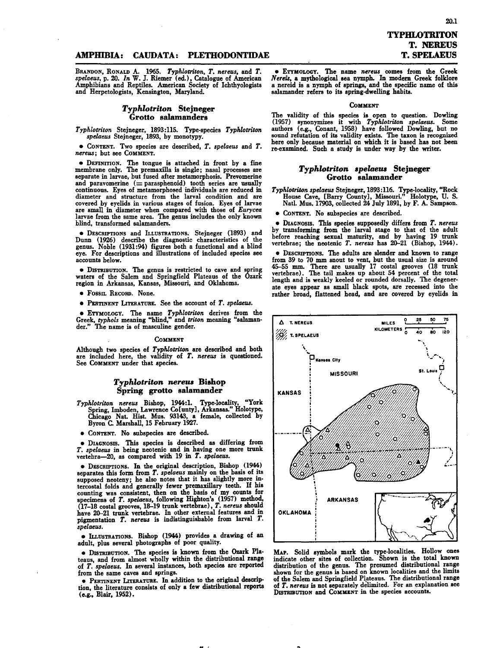20.1

## AMPmBIA: CAUDATA: PLETHODONTIDAE

BRANDON, RONALD A. 1965. *Typhlotriton, T. nereus,* and *T. spelaeus,* p. 20. *In* W. J. Riemer (ed.), Catalogue of American Amphibians and Reptiles. American Society of Ichthyologist and Herpetologists, Kensington, Maryland.

## *Typhlotriton* Slejneger Grotto salamanders

*Typhlotriton* Stejneger, 1893:115. Type-species *Typhlotriton spelaeus* Stejneger, 1893, by monotypy.

• CONTENT.Two species are described, *T. spelaeus* and *T. nereus*; but see COMMENT.

• DEFINITION. The tongue is attached in front by a fine membrane only. The premaxilla is single; nasal processes are separate in larvae, but fused after metamorphosis. Prevomerine and paravomerine  $(=$  parasphenoid) tooth series are usually continuous. Eyes of metamorphosed individuals are reduced in diameter and structure from the larval condition and are covered by evelids in various stages of fusion. Eyes of larvae are small in diameter when compared with those of *Eurycea* larvae from the same area. The genus includes the only known blind, transformed salamanders.

• DESCRIPTIONS and ILLUSTRATIONS. Stejneger (1893) and Dunn (1926) describe the diagnostic characteristics of the genus. Noble (1931:94) figures both a functional and a blind eye. For descriptions and illustrations of included species see accounts below.

• DISTRIBUTION.The genus is restricted to cave and spring waters of the Salem and Springfield Plateaus of the Ozark region in Arkansas, Kansas, Missouri, and Oklahoma.

• Fossn. RECORD. None.

• PERTINENTLITERATURE.See the account of *T. spelaeus.*

• ETYMOLOGY.The name *Typhlotriton* derives from the Greek, *typhols* meaning "blind," and *triton* meaning "salaman-der." The name is of masculine gender .

#### COMMENT

Although two species of *Typhlotriton* are described and both are included here, the validity of *T. nereus* is questioned. See COMMENT under that species.

## *Typhlotriton nereru* Bishop Spring grotto salamander

*Typhlotriton nereus* Bishop, 1944:1. Type-locality, "York Spring, Imboden, Lawrence Colunty , Arkansas." Holotype Chicago NaL HisL Mus. 93143, a female, collected by Byron C. Marshall, 15 February 1927.

• CONTENT. No subspecies are described.

• DIAGNOSIS.This species is described as differing from *T. spelaeus* in being neotenic and in having one more trunk vertebra-20, as compared with 19 in *T. spelaeus.*

• DESCRIPTIONS.In the original description, Bishop (1944) separates this form from *T. spelaeus* mainly on the basis of its supposed neoteny; he also notes that it has slightly more intercostal folds and generally fewer premaxillary teeth. If his counting was consistent, then on the basis of my counts for specimens of *T. spelaeus*, following Highton's (1957) method, (17-18 costal grooves, 18-19 trunk vertebrae), *T. nereus* should have 20-21 trunk vertebrae. In other external features and in pigmentation *T. nereus* is indistinguishable from larval *T*. *spelaeus.*

• Iu.uSTRATlONS. Bishop (1944) provides a drawing of an adult, plus several photographs of poor quality.

• DISTRIBUTION.The species is known from the Ozark Plateaus, and from almost wholly within the distributional range of *T. spelaeus.* In several instances, both species are reported from the same caves and springs.

• PERTINENT LITERATURE. In addition to the original description, the literature consists of only a few distributional reports (e.g., Blair, 1952).

 $\bullet$  ETYMOLOGY. The name *nereus* comes from the Greek <sup>N</sup>*eTm,* <sup>a</sup> mythological sea nymph. In modem Greek folklore <sup>a</sup> nereid is <sup>a</sup> nymph of springs, and the specific name of this salamander refers to its spring-dwelling habits.

#### COMMENT

The validity of this species is open to question. Dowling (1957) synonymizes it with *Typhlotriton spelaeus.* Some authors (e.g., Conant, 1958) have followed Dowling, but no sound refutation of its validity exists. The taxon is recognized<br>here only because material on which it is based has not been re·examined. Such a study is under way by the writer.

# *Typhlotriton .pelaeru* Slejneger Grotto salamander

*Typhlotriton spelaeus* Stejneger, 1893:116. Type-locality, "Rock House Cave, [Barry County], Missouri." Holotype, U. S. Natl. Mus. 17903, collected 24 July 1891, by F. A. Sampson.

• CONTENT. No subspecies are described.

• DIAGNOSIS. This species supposedly differs from *T. nereus* by transforming from the larval stage to that of the adul before reaching sexual maturity, and by having 19 trunk vertebrae; the neotenic *T. nereus* has 20-21 (Bishop, 1944).

• DESCRIPTIONS. The adults are slender and known to range from 39 to 70 mm snout to vent, but the usual size is around 45-55 mm. There are usually 17 costal grooves (18 truni vertebrae). The tail makes up about 54 percent of the total length and is weakly keeled or rounded dorsally. The degenerate eyes appear as amall black spots, are recessed into the rather broad, flattened head, and are covered by eyelids in



MAp. Solid symbols mark the type.localities. Hollow ones indicate other sites of collection. Shown is the total known distribution of the genus. The presumed distributional range shown for the genus is based on known localities and the limits<br>of the Salem and Springfield Plateaus. The distributional range of *T. neTeus* is not separately delimited. For an explanation see DISTRIBUTIONand COMMENTin the species accounts.